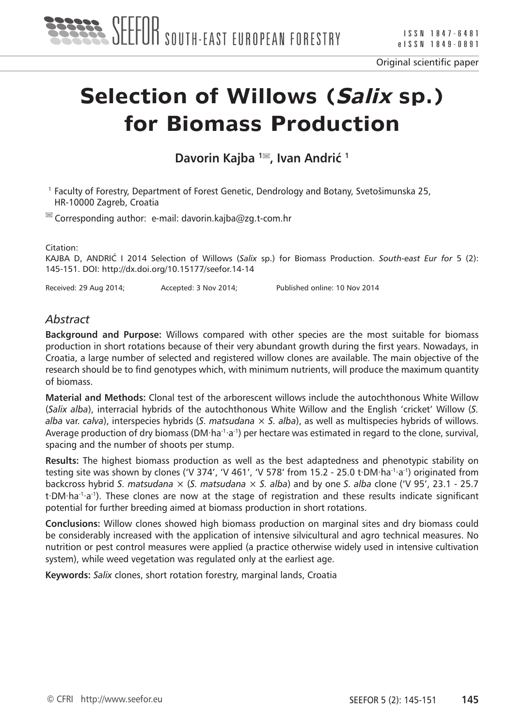

# **Selection of Willows (Salix sp.) for Biomass Production**

**Davorin Kajba <sup>1</sup><sup>■</sup>, Ivan Andrić <sup>1</sup>** 

1 Faculty of Forestry, Department of Forest Genetic, Dendrology and Botany, Svetošimunska 25, HR-10000 Zagreb, Croatia

 $\blacksquare$  Corresponding author: e-mail: davorin.kajba@zg.t-com.hr

Citation:

KAJBA D, ANDRIĆ I 2014 Selection of Willows (*Salix* sp.) for Biomass Production. *South-east Eur for* 5 (2): 145-151. DOI: http://dx.doi.org/10.15177/seefor.14-14

Received: 29 Aug 2014; Accepted: 3 Nov 2014; Published online: 10 Nov 2014

#### *Abstract*

**Background and Purpose:** Willows compared with other species are the most suitable for biomass production in short rotations because of their very abundant growth during the first years. Nowadays, in Croatia, a large number of selected and registered willow clones are available. The main objective of the research should be to find genotypes which, with minimum nutrients, will produce the maximum quantity of biomass.

**Material and Methods:** Clonal test of the arborescent willows include the autochthonous White Willow (*Salix alba*), interracial hybrids of the autochthonous White Willow and the English 'cricket' Willow (*S. alba* var. *calva*), interspecies hybrids (*S. matsudana* × *S. alba*), as well as multispecies hybrids of willows. Average production of dry biomass (DM⋅ha<sup>-1</sup>⋅a<sup>-1</sup>) per hectare was estimated in regard to the clone, survival, spacing and the number of shoots per stump.

**Results:** The highest biomass production as well as the best adaptedness and phenotypic stability on testing site was shown by clones ('V 374', 'V 461', 'V 578' from 15.2 - 25.0 t∙DM∙ha<sup>-1</sup>∙a<sup>-1</sup>) originated from backcross hybrid *S. matsudana* × (*S. matsudana* × *S. alba*) and by one *S. alba* clone ('V 95', 23.1 - 25.7 t∙DM⋅ha<sup>-1</sup>⋅a<sup>-1</sup>). These clones are now at the stage of registration and these results indicate significant potential for further breeding aimed at biomass production in short rotations.

**Conclusions:** Willow clones showed high biomass production on marginal sites and dry biomass could be considerably increased with the application of intensive silvicultural and agro technical measures. No nutrition or pest control measures were applied (a practice otherwise widely used in intensive cultivation system), while weed vegetation was regulated only at the earliest age.

**Keywords:** *Salix* clones, short rotation forestry, marginal lands, Croatia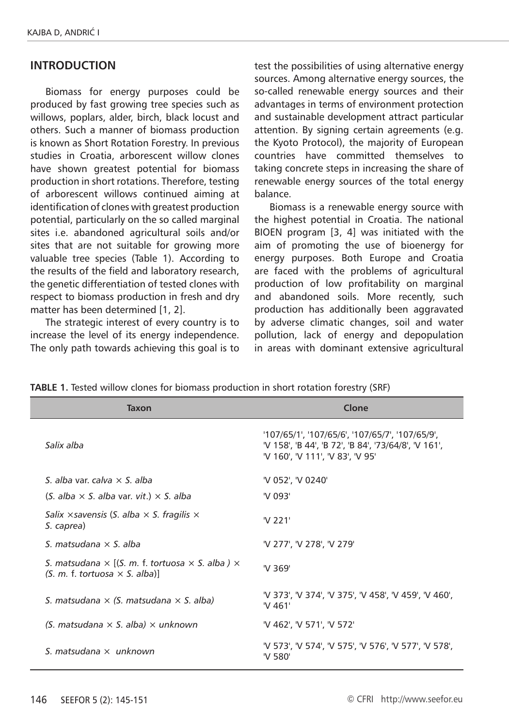#### **Introduction**

Biomass for energy purposes could be produced by fast growing tree species such as willows, poplars, alder, birch, black locust and others. Such a manner of biomass production is known as Short Rotation Forestry. In previous studies in Croatia, arborescent willow clones have shown greatest potential for biomass production in short rotations. Therefore, testing of arborescent willows continued aiming at identification of clones with greatest production potential, particularly on the so called marginal sites i.e. abandoned agricultural soils and/or sites that are not suitable for growing more valuable tree species (Table 1). According to the results of the field and laboratory research, the genetic differentiation of tested clones with respect to biomass production in fresh and dry matter has been determined [1, 2].

The strategic interest of every country is to increase the level of its energy independence. The only path towards achieving this goal is to test the possibilities of using alternative energy sources. Among alternative energy sources, the so-called renewable energy sources and their advantages in terms of environment protection and sustainable development attract particular attention. By signing certain agreements (e.g. the Kyoto Protocol), the majority of European countries have committed themselves to taking concrete steps in increasing the share of renewable energy sources of the total energy balance.

Biomass is a renewable energy source with the highest potential in Croatia. The national BIOEN program [3, 4] was initiated with the aim of promoting the use of bioenergy for energy purposes. Both Europe and Croatia are faced with the problems of agricultural production of low profitability on marginal and abandoned soils. More recently, such production has additionally been aggravated by adverse climatic changes, soil and water pollution, lack of energy and depopulation in areas with dominant extensive agricultural

| Taxon                                                                                                         | Clone                                                                                                                                       |  |
|---------------------------------------------------------------------------------------------------------------|---------------------------------------------------------------------------------------------------------------------------------------------|--|
| Salix alba                                                                                                    | '107/65/1', '107/65/6', '107/65/7', '107/65/9',<br>'V 158', 'B 44', 'B 72', 'B 84', '73/64/8', 'V 161',<br>'V 160', 'V 111', 'V 83', 'V 95' |  |
| S. alba var. calva $\times$ S. alba                                                                           | 'V 052', 'V 0240'                                                                                                                           |  |
| $(S.~alba \times S.~alba$ var. vit.) $\times S.~alba$                                                         | 'V 093'                                                                                                                                     |  |
| Salix $\times$ savensis (S. alba $\times$ S. fragilis $\times$<br>S. caprea)                                  | 'V 221'                                                                                                                                     |  |
| S. matsudana $\times$ S. alba                                                                                 | 'V 277', 'V 278', 'V 279'                                                                                                                   |  |
| S. matsudana $\times$ [(S. m. f. tortuosa $\times$ S. alba ) $\times$<br>$(S. m. f. tortuosa \times S. alba)$ | 'V 369'                                                                                                                                     |  |
| S. matsudana $\times$ (S. matsudana $\times$ S. alba)                                                         | 'V 373', 'V 374', 'V 375', 'V 458', 'V 459', 'V 460',<br>'V 461'                                                                            |  |
| (S. matsudana $\times$ S. alba) $\times$ unknown                                                              | 'V 462', 'V 571', 'V 572'                                                                                                                   |  |
| S. matsudana $\times$ unknown                                                                                 | 'V 573', 'V 574', 'V 575', 'V 576', 'V 577', 'V 578',<br>'V 580'                                                                            |  |

**TABLE 1.** Tested willow clones for biomass production in short rotation forestry (SRF)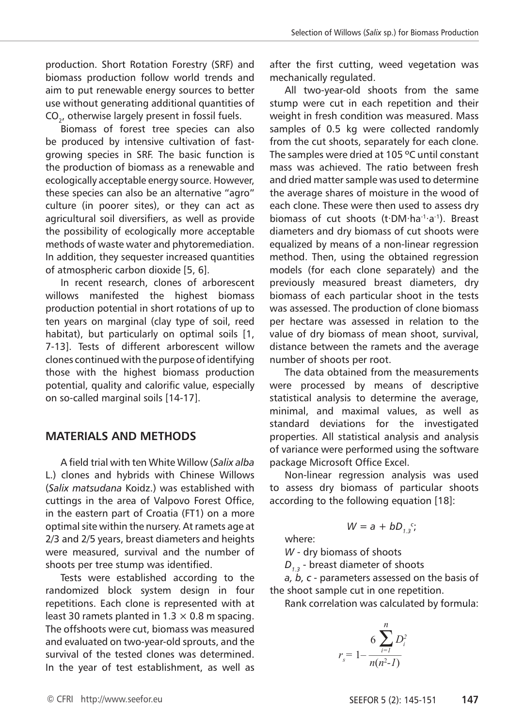production. Short Rotation Forestry (SRF) and biomass production follow world trends and aim to put renewable energy sources to better use without generating additional quantities of CO<sub>2</sub>, otherwise largely present in fossil fuels.

Biomass of forest tree species can also be produced by intensive cultivation of fastgrowing species in SRF. The basic function is the production of biomass as a renewable and ecologically acceptable energy source. However, these species can also be an alternative "agro" culture (in poorer sites), or they can act as agricultural soil diversifiers, as well as provide the possibility of ecologically more acceptable methods of waste water and phytoremediation. In addition, they sequester increased quantities of atmospheric carbon dioxide [5, 6].

In recent research, clones of arborescent willows manifested the highest biomass production potential in short rotations of up to ten years on marginal (clay type of soil, reed habitat), but particularly on optimal soils [1, 7-13]. Tests of different arborescent willow clones continued with the purpose of identifying those with the highest biomass production potential, quality and calorific value, especially on so-called marginal soils [14-17].

### **MATERIALS AND METHODS**

A field trial with ten White Willow (*Salix alba* L.) clones and hybrids with Chinese Willows (*Salix matsudana* Koidz.) was established with cuttings in the area of Valpovo Forest Office, in the eastern part of Croatia (FT1) on a more optimal site within the nursery. At ramets age at 2/3 and 2/5 years, breast diameters and heights were measured, survival and the number of shoots per tree stump was identified.

Tests were established according to the randomized block system design in four repetitions. Each clone is represented with at least 30 ramets planted in 1.3  $\times$  0.8 m spacing. The offshoots were cut, biomass was measured and evaluated on two-year-old sprouts, and the survival of the tested clones was determined. In the year of test establishment, as well as

after the first cutting, weed vegetation was mechanically regulated.

All two-year-old shoots from the same stump were cut in each repetition and their weight in fresh condition was measured. Mass samples of 0.5 kg were collected randomly from the cut shoots, separately for each clone. The samples were dried at 105 °C until constant mass was achieved. The ratio between fresh and dried matter sample was used to determine the average shares of moisture in the wood of each clone. These were then used to assess dry biomass of cut shoots (t∙DM∙ha<sup>-1</sup>∙a<sup>-1</sup>). Breast diameters and dry biomass of cut shoots were equalized by means of a non-linear regression method. Then, using the obtained regression models (for each clone separately) and the previously measured breast diameters, dry biomass of each particular shoot in the tests was assessed. The production of clone biomass per hectare was assessed in relation to the value of dry biomass of mean shoot, survival, distance between the ramets and the average number of shoots per root.

The data obtained from the measurements were processed by means of descriptive statistical analysis to determine the average, minimal, and maximal values, as well as standard deviations for the investigated properties. All statistical analysis and analysis of variance were performed using the software package Microsoft Office Excel.

Non-linear regression analysis was used to assess dry biomass of particular shoots according to the following equation [18]:

 $W = a + bD_{1,3}c$ ;

where:

*W* - dry biomass of shoots

*D1.3* - breast diameter of shoots

*a, b, c* - parameters assessed on the basis of the shoot sample cut in one repetition.

Rank correlation was calculated by formula:

$$
r_{s} = 1 - \frac{6 \sum_{i=1}^{n} D_{i}^{2}}{n(n^{2} - 1)}
$$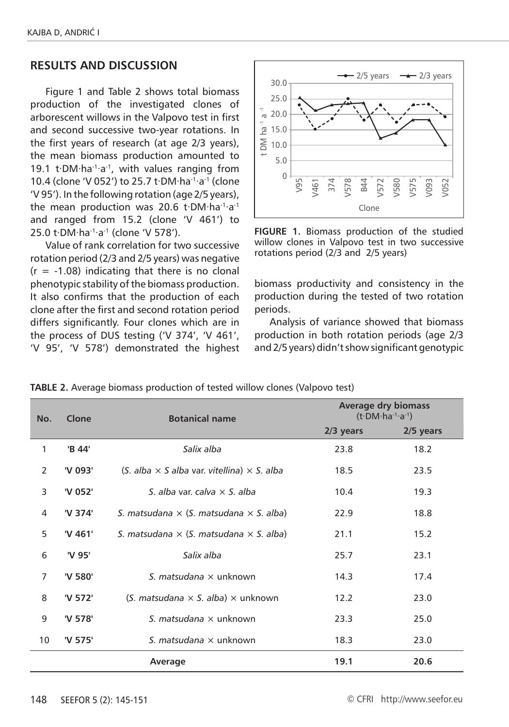## **RESULTS AND DISCUSSION**

Figure 1 and Table 2 shows total biomass production of the investigated clones of arborescent willows in the Valpovo test in first and second successive two-year rotations. In the first years of research (at age 2/3 years), the mean biomass production amounted to 19.1 t∙DM∙ha-1∙a-1, with values ranging from 10.4 (clone 'V 052') to 25.7 t∙DM∙ha-1∙a-1 (clone 'V 95'). In the following rotation (age 2/5 years), the mean production was 20.6 t∙DM∙ha-1∙a-1 and ranged from 15.2 (clone 'V 461') to 25.0 t∙DM∙ha-1∙a-1 (clone 'V 578').

Value of rank correlation for two successive rotation period (2/3 and 2/5 years) was negative  $(r = -1.08)$  indicating that there is no clonal phenotypic stability of the biomass production. It also confirms that the production of each clone after the first and second rotation period differs significantly. Four clones which are in the process of DUS testing ('V 374', 'V 461', 'V 95', 'V 578') demonstrated the highest



**FIGURE 1.** Biomass production of the studied willow clones in Valpovo test in two successive rotations period (2/3 and 2/5 years)

biomass productivity and consistency in the production during the tested of two rotation periods.

Analysis of variance showed that biomass production in both rotation periods (age 2/3 and 2/5 years) didn't show significant genotypic

| No.            | Clone   | <b>Botanical name</b>                                      | <b>Average dry biomass</b><br>$(t \cdot DM \cdot ha^{-1} \cdot a^{-1})$ |             |
|----------------|---------|------------------------------------------------------------|-------------------------------------------------------------------------|-------------|
|                |         |                                                            | $2/3$ years                                                             | $2/5$ years |
| 1              | 'B 44'  | Salix alba                                                 | 23.8                                                                    | 18.2        |
| 2              | 'V 093' | $(S. alba \times S. alba$ var. vitellina) $\times S. alba$ | 18.5                                                                    | 23.5        |
| 3              | 'V 052' | S. alba var. calva $\times$ S. alba                        | 10.4                                                                    | 19.3        |
| 4              | 'V 374' | S. matsudana $\times$ (S. matsudana $\times$ S. alba)      | 22.9                                                                    | 18.8        |
| 5              | 'V 461' | S. matsudana $\times$ (S. matsudana $\times$ S. alba)      | 21.1                                                                    | 15.2        |
| 6              | 'V 95'  | Salix alba                                                 | 25.7                                                                    | 23.1        |
| $\overline{7}$ | 'V 580' | S. matsudana $\times$ unknown                              | 14.3                                                                    | 17.4        |
| 8              | 'V 572' | (S. matsudana $\times$ S. alba) $\times$ unknown           | 12.2                                                                    | 23.0        |
| 9              | 'V 578' | S. matsudana $\times$ unknown                              | 23.3                                                                    | 25.0        |
| 10             | 'V 575' | S. matsudana $\times$ unknown                              | 18.3                                                                    | 23.0        |
|                |         | Average                                                    | 19.1                                                                    | 20.6        |

**TABLE 2.** Average biomass production of tested willow clones (Valpovo test)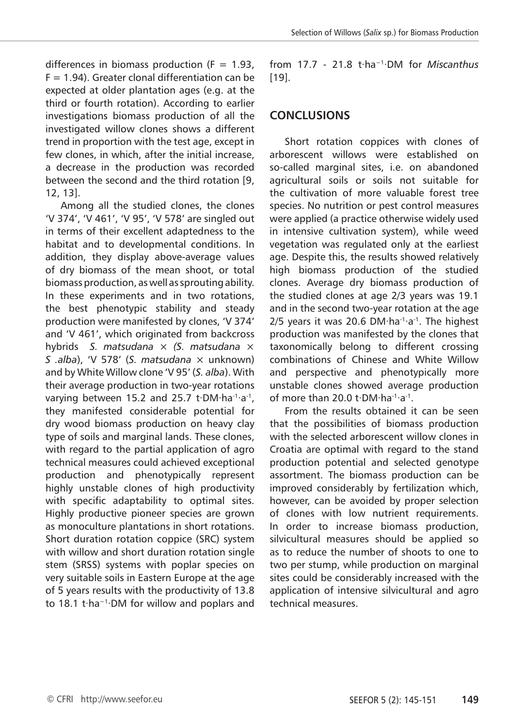differences in biomass production  $(F = 1.93)$ .  $F = 1.94$ ). Greater clonal differentiation can be expected at older plantation ages (e.g. at the third or fourth rotation). According to earlier investigations biomass production of all the investigated willow clones shows a different trend in proportion with the test age, except in few clones, in which, after the initial increase, a decrease in the production was recorded between the second and the third rotation [9, 12, 13].

Among all the studied clones, the clones 'V 374', 'V 461', 'V 95', 'V 578' are singled out in terms of their excellent adaptedness to the habitat and to developmental conditions. In addition, they display above-average values of dry biomass of the mean shoot, or total biomass production, as well as sprouting ability. In these experiments and in two rotations, the best phenotypic stability and steady production were manifested by clones, 'V 374' and 'V 461', which originated from backcross hybrids *S. matsudana × (S. matsudana* × *S .alba*), 'V 578' (*S. matsudana* × unknown) and by White Willow clone 'V 95' (*S. alba*). With their average production in two-year rotations varying between 15.2 and 25.7 t∙DM⋅ha<sup>-1</sup>⋅a<sup>-1</sup>, they manifested considerable potential for dry wood biomass production on heavy clay type of soils and marginal lands. These clones, with regard to the partial application of agro technical measures could achieved exceptional production and phenotypically represent highly unstable clones of high productivity with specific adaptability to optimal sites. Highly productive pioneer species are grown as monoculture plantations in short rotations. Short duration rotation coppice (SRC) system with willow and short duration rotation single stem (SRSS) systems with poplar species on very suitable soils in Eastern Europe at the age of 5 years results with the productivity of 13.8 to 18.1 t∙ha−1∙DM for willow and poplars and from 17.7 - 21.8 t∙ha−1∙DM for *Miscanthus* [19].

# **CONCLUSIONS**

Short rotation coppices with clones of arborescent willows were established on so-called marginal sites, i.e. on abandoned agricultural soils or soils not suitable for the cultivation of more valuable forest tree species. No nutrition or pest control measures were applied (a practice otherwise widely used in intensive cultivation system), while weed vegetation was regulated only at the earliest age. Despite this, the results showed relatively high biomass production of the studied clones. Average dry biomass production of the studied clones at age 2/3 years was 19.1 and in the second two-year rotation at the age 2/5 years it was 20.6 DM⋅ha<sup>-1</sup>⋅a<sup>-1</sup>. The highest production was manifested by the clones that taxonomically belong to different crossing combinations of Chinese and White Willow and perspective and phenotypically more unstable clones showed average production of more than 20.0 t∙DM∙ha-1∙a-1.

From the results obtained it can be seen that the possibilities of biomass production with the selected arborescent willow clones in Croatia are optimal with regard to the stand production potential and selected genotype assortment. The biomass production can be improved considerably by fertilization which, however, can be avoided by proper selection of clones with low nutrient requirements. In order to increase biomass production, silvicultural measures should be applied so as to reduce the number of shoots to one to two per stump, while production on marginal sites could be considerably increased with the application of intensive silvicultural and agro technical measures.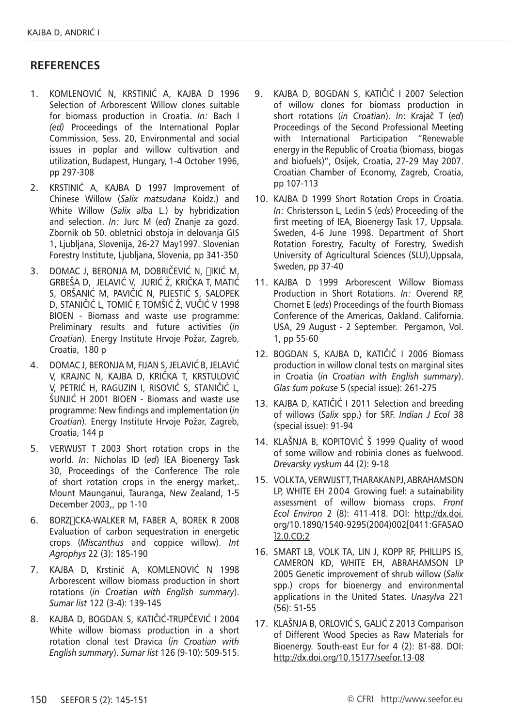#### **RefereNces**

- 1. Komlenović N, Krstinić a, Kajba d 1996 Selection of Arborescent Willow clones suitable for biomass production in Croatia. *In:* Bach I *(ed)* Proceedings of the International Poplar Commission, Sess. 20, Environmental and social issues in poplar and willow cultivation and utilization, Budapest, Hungary, 1-4 October 1996, pp 297-308
- 2. Krstinić A, Kajba D 1997 Improvement of Chinese Willow (*Salix matsudana* Koidz.) and White Willow (*Salix alba* L.) by hybridization and selection. *In:* Jurc M (*ed*) Znanje za gozd. Zbornik ob 50. obletnici obstoja in delovanja GIS 1, Ljubljana, Slovenija, 26-27 May1997. Slovenian Forestry Institute, Ljubljana, Slovenia, pp 341-350
- 3. DOMAC J, BERONJA M, DOBRIČEVIĆ N, ∏IKIĆ M, Grbeša D, Jelavić V, Jurić Ž, Krička T, Matić S, Oršanić M, Pavičić N, Pliestić S, Salopek D, Staničić L, Tomić F, Tomšić Ž, Vučić V 1998 BIOEN - Biomass and waste use programme: Preliminary results and future activities (*in Croatian*). Energy Institute Hrvoje Požar, Zagreb, Croatia, 180 p
- 4. Domac J, Beronja m, Fijan s, Jelavić b, Jelavić v, Krajnc n, Kajba d, Krička t, Krstulović v, Petrić h, Raguzin i, Risović s, Staničić l, Šunjić h 2001 BIOEN - Biomass and waste use programme: New findings and implementation (*in Croatian*). Energy Institute Hrvoje Požar, Zagreb, Croatia, 144 p
- 5. Verwijst T 2003 Short rotation crops in the world. *In:* Nicholas ID (*ed*) IEA Bioenergy Task 30, Proceedings of the Conference The role of short rotation crops in the energy market,. Mount Maunganui, Tauranga, New Zealand, 1-5 December 2003,, pp 1-10
- 6. BORZ∏CKA-WALKER M, FABER A, BOREK R 2008 Evaluation of carbon sequestration in energetic crops (*Miscanthus* and coppice willow). *Int Agrophys* 22 (3): 185-190
- 7. Kajba D, Krstinić a, Komlenović n 1998 Arborescent willow biomass production in short rotations (*in Croatian with English summary*). *Sumar list* 122 (3-4): 139-145
- 8. Kajba D, Bogdan s, Katičić-Trupčević i 2004 White willow biomass production in a short rotation clonal test Dravica (*in Croatian with English summary*). *Sumar list* 126 (9-10): 509-515.
- 9. Kajba D, Bogdan S, Katičić I 2007 Selection of willow clones for biomass production in short rotations (*in Croatian*). *In*: Krajač T (*ed*) Proceedings of the Second Professional Meeting with International Participation "Renewable energy in the Republic of Croatia (biomass, biogas and biofuels)", Osijek, Croatia, 27-29 May 2007. Croatian Chamber of Economy, Zagreb, Croatia, pp 107-113
- 10. KAJBA D 1999 Short Rotation Crops in Croatia. *In:* Christersson L, Ledin S (*eds*) Proceeding of the first meeting of IEA, Bioenergy Task 17, Uppsala. Sweden, 4-6 June 1998. Department of Short Rotation Forestry, Faculty of Forestry, Swedish University of Agricultural Sciences (SLU),Uppsala, Sweden, pp 37-40
- 11. KAJBA D 1999 Arborescent Willow Biomass Production in Short Rotations. *In:* Overend RP, Chornet E (*eds*) Proceedings of the fourth Biomass Conference of the Americas, Oakland. California. USA, 29 August - 2 September. Pergamon, Vol. 1, pp 55-60
- 12. Bogdan S, Kajba D, Katičić I 2006 Biomass production in willow clonal tests on marginal sites in Croatia (*in Croatian with English summary*). *Glas šum pokuse* 5 (special issue): 261-275
- 13. KAJBA D, KATIČIĆ I 2011 Selection and breeding of willows (*Salix* spp.) for SRF. *Indian J Ecol* 38 (special issue): 91-94
- 14. KLAŠNJA B, KOPITOVIĆ Š 1999 Quality of wood of some willow and robinia clones as fuelwood. *Drevarsky vyskum* 44 (2): 9-18
- 15. Volk TA, Verwijstt, Tharakan PJ, Abrahamson LP, WHITE EH 2004 Growing fuel: a sutainability assessment of willow biomass crops. *Front Ecol Environ* 2 (8): 411-418. DOI: http://dx.doi. org/10.1890/1540-9295(2004)002[0411:GFASAO ]2.0.CO;2
- 16. Smart LB, Volk TA, Lin J, Kopp RF, Phillips IS, Cameron KD, White EH, Abrahamson LP 2005 Genetic improvement of shrub willow (*Salix*  spp.) crops for bioenergy and environmental applications in the United States. *Unasylva* 221 (56): 51-55
- 17. KLAŠNJA B, ORLOVIĆ S, GALIĆ Z 2013 Comparison of Different Wood Species as Raw Materials for Bioenergy. South-east Eur for 4 (2): 81-88. DOI: http://dx.doi.org/10.15177/seefor.13-08